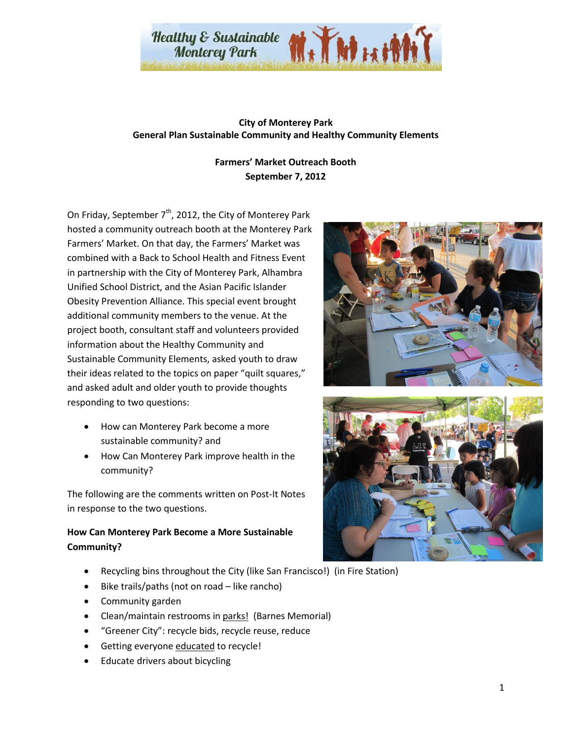

## **City of Monterey Park General Plan Sustainable Community and Healthy Community Elements**

## **Farmers' Market Outreach Booth September 7, 2012**

On Friday, September  $7<sup>th</sup>$ , 2012, the City of Monterey Park hosted a community outreach booth at the Monterey Park Farmers' Market. On that day, the Farmers' Market was combined with a Back to School Health and Fitness Event in partnership with the City of Monterey Park, Alhambra Unified School District, and the Asian Pacific Islander Obesity Prevention Alliance. This special event brought additional community members to the venue. At the project booth, consultant staff and volunteers provided information about the Healthy Community and Sustainable Community Elements, asked youth to draw their ideas related to the topics on paper "quilt squares," and asked adult and older youth to provide thoughts responding to two questions:

- · How can Monterey Park become a more sustainable community? and
- · How Can Monterey Park improve health in the community?

The following are the comments written on Post-It Notes in response to the two questions.

## **How Can Monterey Park Become a More Sustainable Community?**

- Recycling bins throughout the City (like San Francisco!) (in Fire Station)
- Bike trails/paths (not on road like rancho)
- · Community garden
- Clean/maintain restrooms in parks! (Barnes Memorial)
- · "Greener City": recycle bids, recycle reuse, reduce
- Getting everyone educated to recycle!
- Educate drivers about bicycling



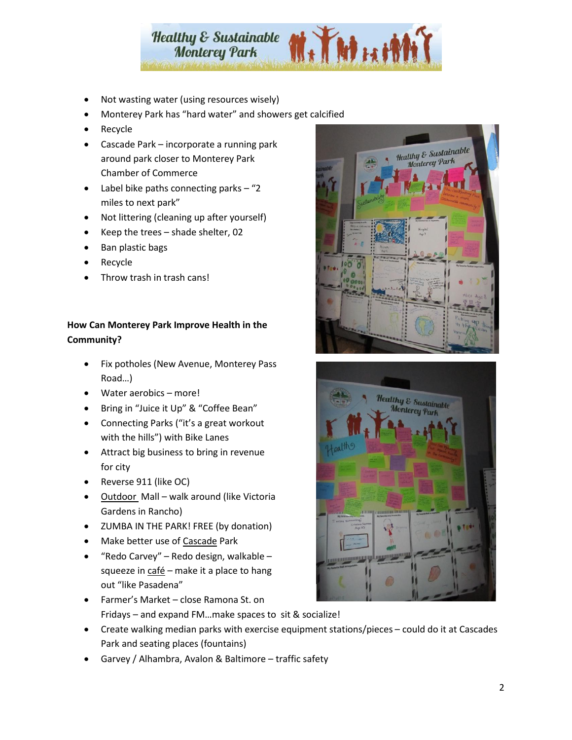

- Not wasting water (using resources wisely)
- · Monterey Park has "hard water" and showers get calcified
- **Recycle**
- · Cascade Park incorporate a running park around park closer to Monterey Park Chamber of Commerce
- Label bike paths connecting parks  $-$  "2 miles to next park"
- · Not littering (cleaning up after yourself)
- Keep the trees  $-$  shade shelter, 02
- Ban plastic bags
- **Recycle**
- Throw trash in trash cans!

## **How Can Monterey Park Improve Health in the Community?**

- · Fix potholes (New Avenue, Monterey Pass Road…)
- · Water aerobics more!
- · Bring in "Juice it Up" & "Coffee Bean"
- · Connecting Parks ("it's a great workout with the hills") with Bike Lanes
- · Attract big business to bring in revenue for city
- · Reverse 911 (like OC)
- Outdoor Mall walk around (like Victoria Gardens in Rancho)
- · ZUMBA IN THE PARK! FREE (by donation)
- Make better use of Cascade Park
- "Redo Carvey" Redo design, walkable squeeze in  $\frac{\text{café}}{\text{c}}$  – make it a place to hang out "like Pasadena"
- · Farmer's Market close Ramona St. on Fridays – and expand FM…make spaces to sit & socialize!
- · Create walking median parks with exercise equipment stations/pieces could do it at Cascades Park and seating places (fountains)
- · Garvey / Alhambra, Avalon & Baltimore traffic safety